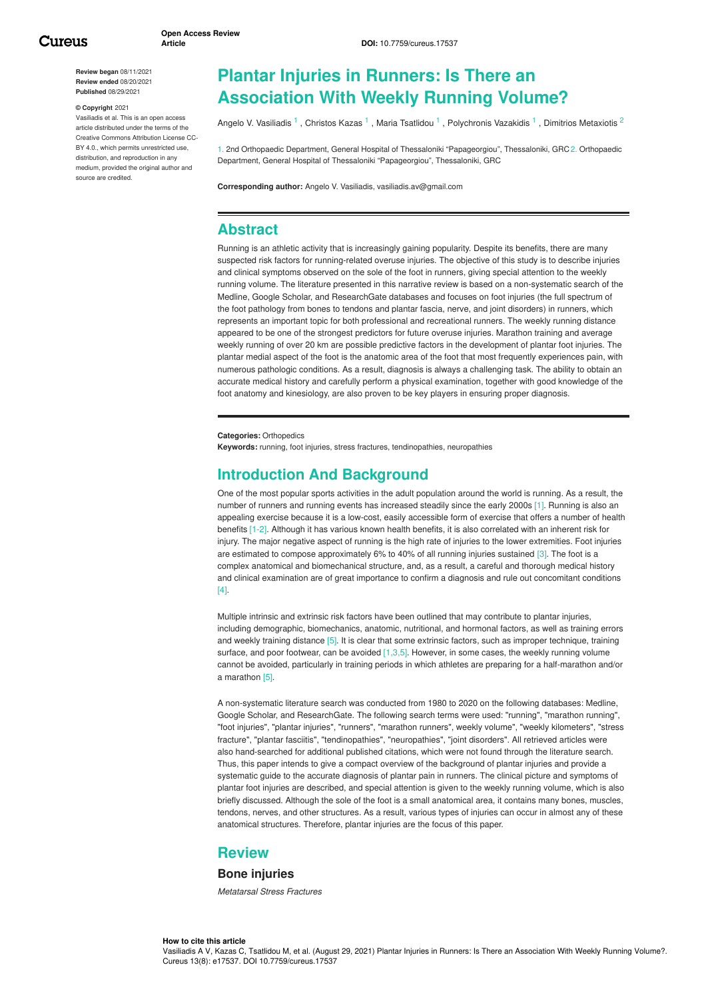**Review began** 08/11/2021 **Review ended** 08/20/2021 **Published** 08/29/2021

#### **© Copyright** 2021

Vasiliadis et al. This is an open access article distributed under the terms of the Creative Commons Attribution License CC-BY 4.0., which permits unrestricted use. distribution, and reproduction in any medium, provided the original author and source are credited.

# **Plantar Injuries in Runners: Is There an Association With Weekly Running Volume?**

Angelo V. [Vasiliadis](https://www.cureus.com/users/156790-angelo-v-vasiliadis) <sup>1</sup>, [Christos](https://www.cureus.com/users/270528-christos-kazas) Kazas <sup>1</sup>, Maria [Tsatlidou](https://www.cureus.com/users/206241-maria-tsatlidou) <sup>1</sup>, [Polychronis](https://www.cureus.com/users/229612-polychronis-vazakidis) Vazakidis <sup>1</sup>, Dimitrios [Metaxiotis](https://www.cureus.com/users/165213-dimitrios-metaxiotis) <sup>2</sup>

1. 2nd Orthopaedic Department, General Hospital of Thessaloniki "Papageorgiou", Thessaloniki, GRC 2. Orthopaedic Department, General Hospital of Thessaloniki "Papageorgiou", Thessaloniki, GRC

**Corresponding author:** Angelo V. Vasiliadis, vasiliadis.av@gmail.com

# **Abstract**

Running is an athletic activity that is increasingly gaining popularity. Despite its benefits, there are many suspected risk factors for running-related overuse injuries. The objective of this study is to describe injuries and clinical symptoms observed on the sole of the foot in runners, giving special attention to the weekly running volume. The literature presented in this narrative review is based on a non-systematic search of the Medline, Google Scholar, and ResearchGate databases and focuses on foot injuries (the full spectrum of the foot pathology from bones to tendons and plantar fascia, nerve, and joint disorders) in runners, which represents an important topic for both professional and recreational runners. The weekly running distance appeared to be one of the strongest predictors for future overuse injuries. Marathon training and average weekly running of over 20 km are possible predictive factors in the development of plantar foot injuries. The plantar medial aspect of the foot is the anatomic area of the foot that most frequently experiences pain, with numerous pathologic conditions. As a result, diagnosis is always a challenging task. The ability to obtain an accurate medical history and carefully perform a physical examination, together with good knowledge of the foot anatomy and kinesiology, are also proven to be key players in ensuring proper diagnosis.

**Categories:** Orthopedics

**Keywords:** running, foot injuries, stress fractures, tendinopathies, neuropathies

# **Introduction And Background**

One of the most popular sports activities in the adult population around the world is running. As a result, the number of runners and running events has increased steadily since the early 2000s [1]. Running is also an appealing exercise because it is a low-cost, easily accessible form of exercise that offers a number of health benefits [1-2]. Although it has various known health benefits, it is also correlated with an inherent risk for injury. The major negative aspect of running is the high rate of injuries to the lower extremities. Foot injuries are estimated to compose approximately 6% to 40% of all running injuries sustained [3]. The foot is a complex anatomical and biomechanical structure, and, as a result, a careful and thorough medical history and clinical examination are of great importance to confirm a diagnosis and rule out concomitant conditions [4].

Multiple intrinsic and extrinsic risk factors have been outlined that may contribute to plantar injuries, including demographic, biomechanics, anatomic, nutritional, and hormonal factors, as well as training errors and weekly training distance [5]. It is clear that some extrinsic factors, such as improper technique, training surface, and poor footwear, can be avoided [1,3,5]. However, in some cases, the weekly running volume cannot be avoided, particularly in training periods in which athletes are preparing for a half-marathon and/or a marathon [5].

A non-systematic literature search was conducted from 1980 to 2020 on the following databases: Medline, Google Scholar, and ResearchGate. The following search terms were used: "running", "marathon running", "foot injuries", "plantar injuries", "runners", "marathon runners", weekly volume", "weekly kilometers", "stress fracture", "plantar fasciitis", "tendinopathies", "neuropathies", "joint disorders". All retrieved articles were also hand-searched for additional published citations, which were not found through the literature search. Thus, this paper intends to give a compact overview of the background of plantar injuries and provide a systematic guide to the accurate diagnosis of plantar pain in runners. The clinical picture and symptoms of plantar foot injuries are described, and special attention is given to the weekly running volume, which is also briefly discussed. Although the sole of the foot is a small anatomical area, it contains many bones, muscles, tendons, nerves, and other structures. As a result, various types of injuries can occur in almost any of these anatomical structures. Therefore, plantar injuries are the focus of this paper.

## **Review**

### **Bone injuries**

*Metatarsal Stress Fractures*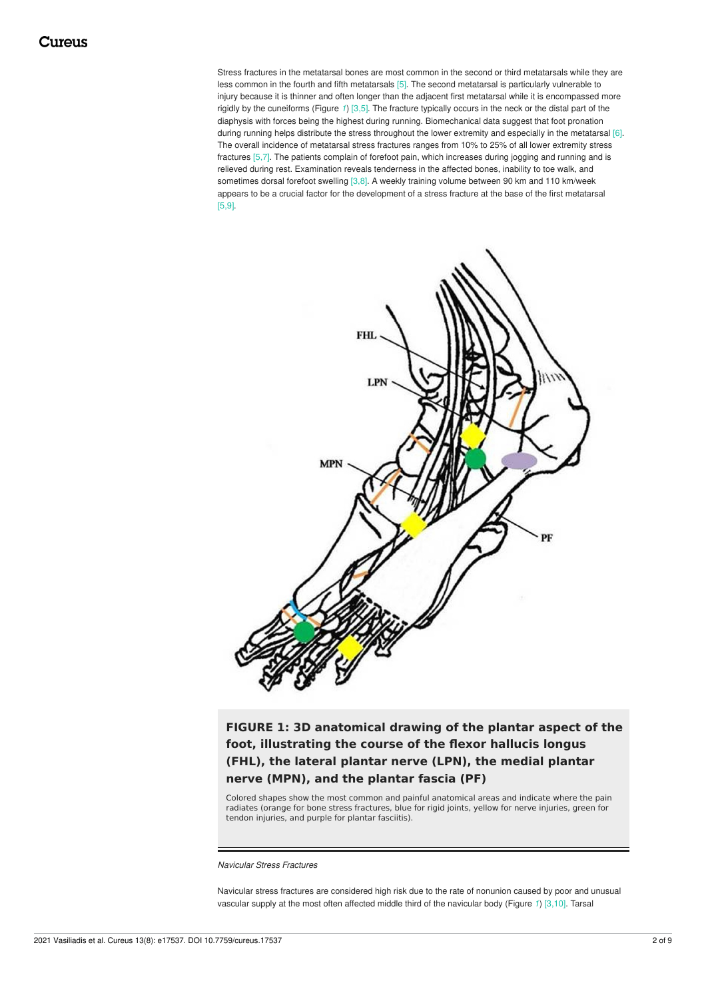Stress fractures in the metatarsal bones are most common in the second or third metatarsals while they are less common in the fourth and fifth metatarsals [5]. The second metatarsal is particularly vulnerable to injury because it is thinner and often longer than the adjacent first metatarsal while it is encompassed more rigidly by the cuneiforms (Figure *[1](#page-1-0)*) [3,5]. The fracture typically occurs in the neck or the distal part of the diaphysis with forces being the highest during running. Biomechanical data suggest that foot pronation during running helps distribute the stress throughout the lower extremity and especially in the metatarsal [6]. The overall incidence of metatarsal stress fractures ranges from 10% to 25% of all lower extremity stress fractures [5,7]. The patients complain of forefoot pain, which increases during jogging and running and is relieved during rest. Examination reveals tenderness in the affected bones, inability to toe walk, and sometimes dorsal forefoot swelling [3,8]. A weekly training volume between 90 km and 110 km/week appears to be a crucial factor for the development of a stress fracture at the base of the first metatarsal [5,9].

<span id="page-1-0"></span>

**FIGURE 1: 3D anatomical drawing of the plantar aspect of the foot, illustrating the course of the flexor hallucis longus (FHL), the lateral plantar nerve (LPN), the medial plantar nerve (MPN), and the plantar fascia (PF)**

Colored shapes show the most common and painful anatomical areas and indicate where the pain radiates (orange for bone stress fractures, blue for rigid joints, yellow for nerve injuries, green for tendon injuries, and purple for plantar fasciitis).

*Navicular Stress Fractures*

Navicular stress fractures are considered high risk due to the rate of nonunion caused by poor and unusual vascular supply at the most often affected middle third of the navicular body (Figure *[1](#page-1-0)*) [3,10]. Tarsal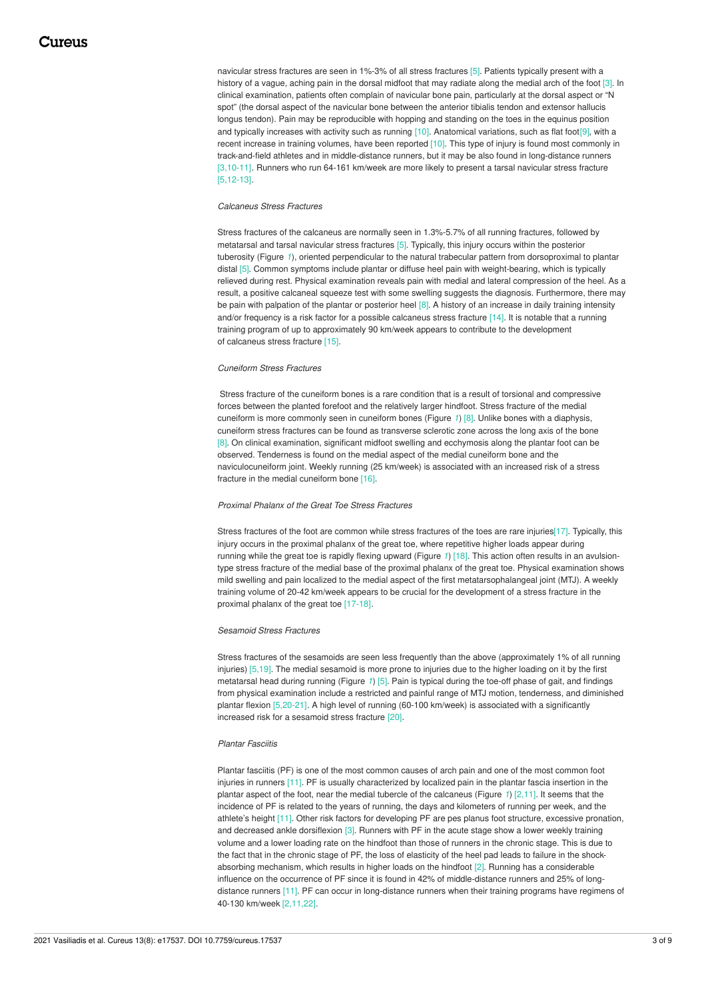navicular stress fractures are seen in 1%-3% of all stress fractures [5]. Patients typically present with a history of a vague, aching pain in the dorsal midfoot that may radiate along the medial arch of the foot [3]. In clinical examination, patients often complain of navicular bone pain, particularly at the dorsal aspect or "N spot" (the dorsal aspect of the navicular bone between the anterior tibialis tendon and extensor hallucis longus tendon). Pain may be reproducible with hopping and standing on the toes in the equinus position and typically increases with activity such as running  $[10]$ . Anatomical variations, such as flat foot $[9]$ , with a recent increase in training volumes, have been reported [10]. This type of injury is found most commonly in track-and-field athletes and in middle-distance runners, but it may be also found in long-distance runners [3,10-11]. Runners who run 64-161 km/week are more likely to present a tarsal navicular stress fracture [5,12-13].

### *Calcaneus Stress Fractures*

Stress fractures of the calcaneus are normally seen in 1.3%-5.7% of all running fractures, followed by metatarsal and tarsal navicular stress fractures [5]. Typically, this injury occurs within the posterior tuberosity (Figure [1](#page-1-0)), oriented perpendicular to the natural trabecular pattern from dorsoproximal to plantar distal [5]. Common symptoms include plantar or diffuse heel pain with weight-bearing, which is typically relieved during rest. Physical examination reveals pain with medial and lateral compression of the heel. As a result, a positive calcaneal squeeze test with some swelling suggests the diagnosis. Furthermore, there may be pain with palpation of the plantar or posterior heel [8]. A history of an increase in daily training intensity and/or frequency is a risk factor for a possible calcaneus stress fracture [14]. It is notable that a running training program of up to approximately 90 km/week appears to contribute to the development of calcaneus stress fracture [15].

#### *Cuneiform Stress Fractures*

Stress fracture of the cuneiform bones is a rare condition that is a result of torsional and compressive forces between the planted forefoot and the relatively larger hindfoot. Stress fracture of the medial cuneiform is more commonly seen in cuneiform bones (Figure *[1](#page-1-0)*) [8]. Unlike bones with a diaphysis, cuneiform stress fractures can be found as transverse sclerotic zone across the long axis of the bone [8]. On clinical examination, significant midfoot swelling and ecchymosis along the plantar foot can be observed. Tenderness is found on the medial aspect of the medial cuneiform bone and the naviculocuneiform joint. Weekly running (25 km/week) is associated with an increased risk of a stress fracture in the medial cuneiform bone [16].

#### *Proximal Phalanx of the Great Toe Stress Fractures*

Stress fractures of the foot are common while stress fractures of the toes are rare injuries[17]. Typically, this injury occurs in the proximal phalanx of the great toe, where repetitive higher loads appear during running while the great toe is rapidly flexing upward (Figure *[1](#page-1-0)*) [18]. This action often results in an avulsiontype stress fracture of the medial base of the proximal phalanx of the great toe. Physical examination shows mild swelling and pain localized to the medial aspect of the first metatarsophalangeal joint (MTJ). A weekly training volume of 20-42 km/week appears to be crucial for the development of a stress fracture in the proximal phalanx of the great toe [17-18].

#### *Sesamoid Stress Fractures*

Stress fractures of the sesamoids are seen less frequently than the above (approximately 1% of all running injuries) [5,19]. The medial sesamoid is more prone to injuries due to the higher loading on it by the first metatarsal head during running (Figure *[1](#page-1-0)*) [5]. Pain is typical during the toe-off phase of gait, and findings from physical examination include a restricted and painful range of MTJ motion, tenderness, and diminished plantar flexion [5,20-21]. A high level of running (60-100 km/week) is associated with a significantly increased risk for a sesamoid stress fracture [20].

#### *Plantar Fasciitis*

Plantar fasciitis (PF) is one of the most common causes of arch pain and one of the most common foot injuries in runners [11]. PF is usually characterized by localized pain in the plantar fascia insertion in the plantar aspect of the foot, near the medial tubercle of the calcaneus (Figure *[1](#page-1-0)*) [2,11]. It seems that the incidence of PF is related to the years of running, the days and kilometers of running per week, and the athlete's height [11]. Other risk factors for developing PF are pes planus foot structure, excessive pronation, and decreased ankle dorsiflexion [3]. Runners with PF in the acute stage show a lower weekly training volume and a lower loading rate on the hindfoot than those of runners in the chronic stage. This is due to the fact that in the chronic stage of PF, the loss of elasticity of the heel pad leads to failure in the shockabsorbing mechanism, which results in higher loads on the hindfoot [2]. Running has a considerable influence on the occurrence of PF since it is found in 42% of middle-distance runners and 25% of longdistance runners [11]. PF can occur in long-distance runners when their training programs have regimens of 40-130 km/week [2,11,22].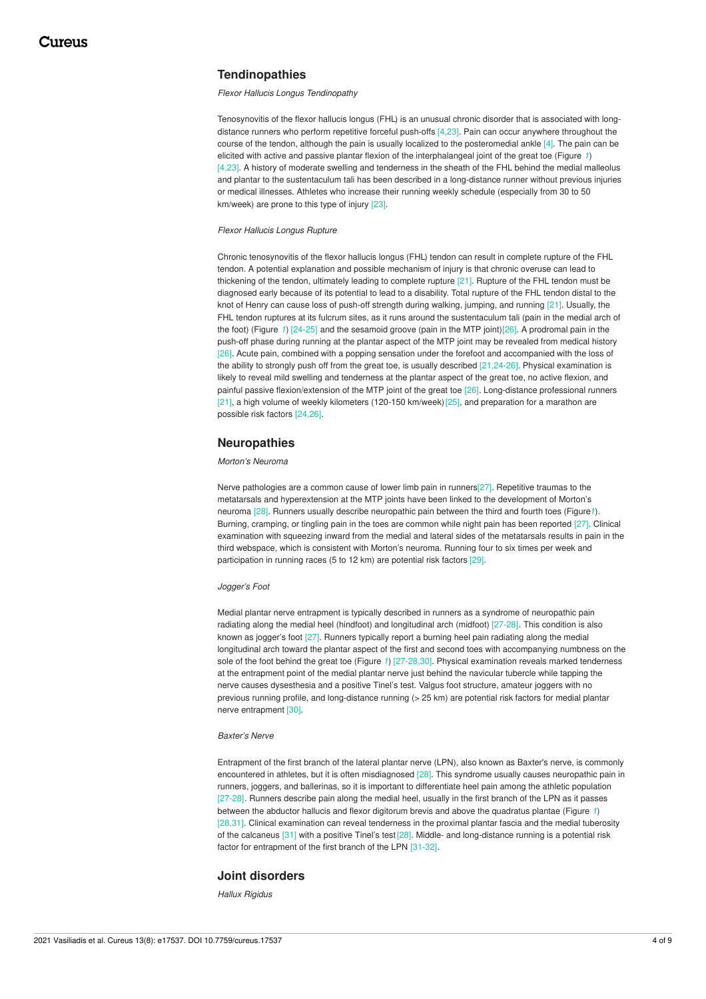## **Tendinopathies**

*Flexor Hallucis Longus Tendinopathy*

Tenosynovitis of the flexor hallucis longus (FHL) is an unusual chronic disorder that is associated with longdistance runners who perform repetitive forceful push-offs [4,23]. Pain can occur anywhere throughout the course of the tendon, although the pain is usually localized to the posteromedial ankle [4]. The pain can be elicited with active and passive plantar flexion of the interphalangeal joint of the great toe (Figure *[1](#page-1-0)*) [4,23]. A history of moderate swelling and tenderness in the sheath of the FHL behind the medial malleolus and plantar to the sustentaculum tali has been described in a long-distance runner without previous injuries or medical illnesses. Athletes who increase their running weekly schedule (especially from 30 to 50 km/week) are prone to this type of injury [23].

*Flexor Hallucis Longus Rupture*

Chronic tenosynovitis of the flexor hallucis longus (FHL) tendon can result in complete rupture of the FHL tendon. A potential explanation and possible mechanism of injury is that chronic overuse can lead to thickening of the tendon, ultimately leading to complete rupture [21]. Rupture of the FHL tendon must be diagnosed early because of its potential to lead to a disability. Total rupture of the FHL tendon distal to the knot of Henry can cause loss of push-off strength during walking, jumping, and running [21]. Usually, the FHL tendon ruptures at its fulcrum sites, as it runs around the sustentaculum tali (pain in the medial arch of the foot) (Figure *[1](#page-1-0)*) [24-25] and the sesamoid groove (pain in the MTP joint)[26]. A prodromal pain in the push-off phase during running at the plantar aspect of the MTP joint may be revealed from medical history [26]. Acute pain, combined with a popping sensation under the forefoot and accompanied with the loss of the ability to strongly push off from the great toe, is usually described [21,24-26]. Physical examination is likely to reveal mild swelling and tenderness at the plantar aspect of the great toe, no active flexion, and painful passive flexion/extension of the MTP joint of the great toe [26]. Long-distance professional runners [21], a high volume of weekly kilometers (120-150 km/week)[25], and preparation for a marathon are possible risk factors [24,26].

## **Neuropathies**

### *Morton's Neuroma*

Nerve pathologies are a common cause of lower limb pain in runners[27]. Repetitive traumas to the metatarsals and hyperextension at the MTP joints have been linked to the development of Morton's neuroma [28]. Runners usually describe neuropathic pain between the third and fourth toes (Figure*[1](#page-1-0)*). Burning, cramping, or tingling pain in the toes are common while night pain has been reported [27]. Clinical examination with squeezing inward from the medial and lateral sides of the metatarsals results in pain in the third webspace, which is consistent with Morton's neuroma. Running four to six times per week and participation in running races (5 to 12 km) are potential risk factors [29].

#### *Jogger's Foot*

Medial plantar nerve entrapment is typically described in runners as a syndrome of neuropathic pain radiating along the medial heel (hindfoot) and longitudinal arch (midfoot) [27-28]. This condition is also known as jogger's foot [27]. Runners typically report a burning heel pain radiating along the medial longitudinal arch toward the plantar aspect of the first and second toes with accompanying numbness on the sole of the foot behind the great toe (Figure *[1](#page-1-0)*) [27-28,30]. Physical examination reveals marked tenderness at the entrapment point of the medial plantar nerve just behind the navicular tubercle while tapping the nerve causes dysesthesia and a positive Tinel's test. Valgus foot structure, amateur joggers with no previous running profile, and long-distance running (> 25 km) are potential risk factors for medial plantar nerve entrapment [30].

#### *Baxter's Nerve*

Entrapment of the first branch of the lateral plantar nerve (LPN), also known as Baxter's nerve, is commonly encountered in athletes, but it is often misdiagnosed [28]. This syndrome usually causes neuropathic pain in runners, joggers, and ballerinas, so it is important to differentiate heel pain among the athletic population [27-28]. Runners describe pain along the medial heel, usually in the first branch of the LPN as it passes between the abductor hallucis and flexor digitorum brevis and above the quadratus plantae (Figure *[1](#page-1-0)*) [28,31]. Clinical examination can reveal tenderness in the proximal plantar fascia and the medial tuberosity of the calcaneus [31] with a positive Tinel's test [28]. Middle- and long-distance running is a potential risk factor for entrapment of the first branch of the LPN [31-32].

### **Joint disorders**

*Hallux Rigidus*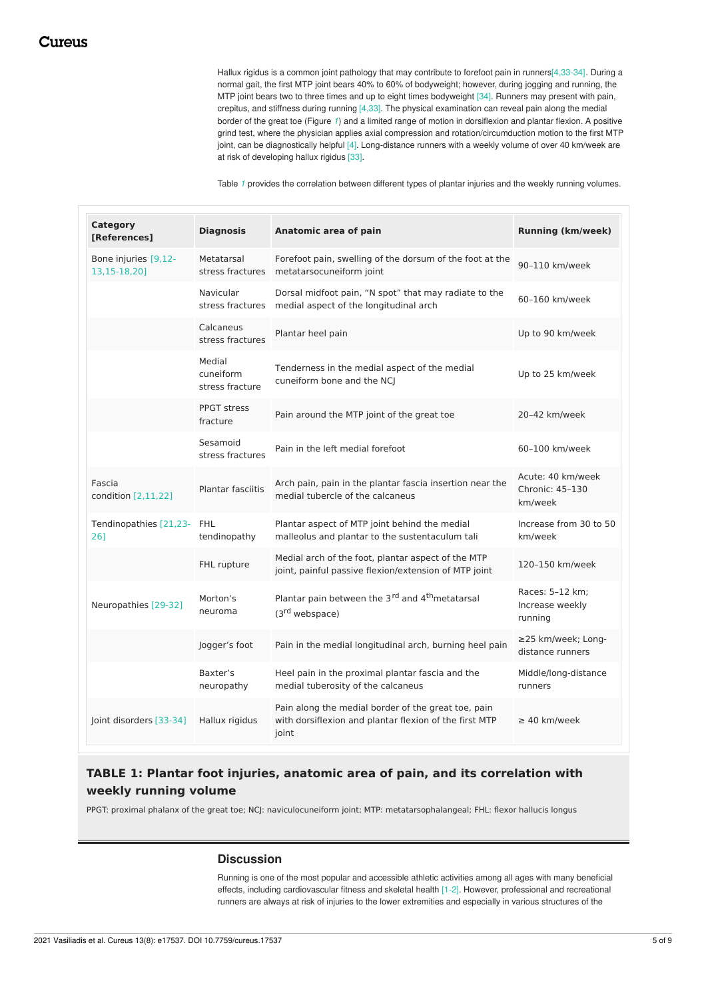Hallux rigidus is a common joint pathology that may contribute to forefoot pain in runners[4,33-34]. During a normal gait, the first MTP joint bears 40% to 60% of bodyweight; however, during jogging and running, the MTP joint bears two to three times and up to eight times bodyweight [34]. Runners may present with pain, crepitus, and stiffness during running [4,33]. The physical examination can reveal pain along the medial border of the great toe (Figure *[1](#page-1-0)*) and a limited range of motion in dorsiflexion and plantar flexion. A positive grind test, where the physician applies axial compression and rotation/circumduction motion to the first MTP joint, can be diagnostically helpful [4]. Long-distance runners with a weekly volume of over 40 km/week are at risk of developing hallux rigidus [33].

Table *[1](#page-4-0)* provides the correlation between different types of plantar injuries and the weekly running volumes.

<span id="page-4-0"></span>

| Category<br>[References]             | <b>Diagnosis</b>                       | Anatomic area of pain                                                                                                  | <b>Running (km/week)</b>                        |
|--------------------------------------|----------------------------------------|------------------------------------------------------------------------------------------------------------------------|-------------------------------------------------|
| Bone injuries [9,12-<br>13,15-18,20] | Metatarsal<br>stress fractures         | Forefoot pain, swelling of the dorsum of the foot at the<br>metatarsocuneiform joint                                   | 90-110 km/week                                  |
|                                      | Navicular<br>stress fractures          | Dorsal midfoot pain, "N spot" that may radiate to the<br>medial aspect of the longitudinal arch                        | 60-160 km/week                                  |
|                                      | Calcaneus<br>stress fractures          | Plantar heel pain                                                                                                      | Up to 90 km/week                                |
|                                      | Medial<br>cuneiform<br>stress fracture | Tenderness in the medial aspect of the medial<br>cuneiform bone and the NCI                                            | Up to 25 km/week                                |
|                                      | <b>PPGT stress</b><br>fracture         | Pain around the MTP joint of the great toe                                                                             | 20-42 km/week                                   |
|                                      | Sesamoid<br>stress fractures           | Pain in the left medial forefoot                                                                                       | 60-100 km/week                                  |
| Fascia<br>condition [2,11,22]        | <b>Plantar fasciitis</b>               | Arch pain, pain in the plantar fascia insertion near the<br>medial tubercle of the calcaneus                           | Acute: 40 km/week<br>Chronic: 45-130<br>km/week |
| Tendinopathies [21,23- FHL<br>261    | tendinopathy                           | Plantar aspect of MTP joint behind the medial<br>malleolus and plantar to the sustentaculum tali                       | Increase from 30 to 50<br>km/week               |
|                                      | FHL rupture                            | Medial arch of the foot, plantar aspect of the MTP<br>joint, painful passive flexion/extension of MTP joint            | 120-150 km/week                                 |
| Neuropathies [29-32]                 | Morton's<br>neuroma                    | Plantar pain between the 3rd and 4 <sup>th</sup> metatarsal<br>(3 <sup>rd</sup> webspace)                              | Races: 5-12 km;<br>Increase weekly<br>running   |
|                                      | Jogger's foot                          | Pain in the medial longitudinal arch, burning heel pain                                                                | ≥25 km/week; Long-<br>distance runners          |
|                                      | Baxter's<br>neuropathy                 | Heel pain in the proximal plantar fascia and the<br>medial tuberosity of the calcaneus                                 | Middle/long-distance<br>runners                 |
| Joint disorders [33-34]              | Hallux rigidus                         | Pain along the medial border of the great toe, pain<br>with dorsiflexion and plantar flexion of the first MTP<br>joint | $\geq$ 40 km/week                               |

# **TABLE 1: Plantar foot injuries, anatomic area of pain, and its correlation with weekly running volume**

PPGT: proximal phalanx of the great toe; NCJ: naviculocuneiform joint; MTP: metatarsophalangeal; FHL: flexor hallucis longus

### **Discussion**

Running is one of the most popular and accessible athletic activities among all ages with many beneficial effects, including cardiovascular fitness and skeletal health [1-2]. However, professional and recreational runners are always at risk of injuries to the lower extremities and especially in various structures of the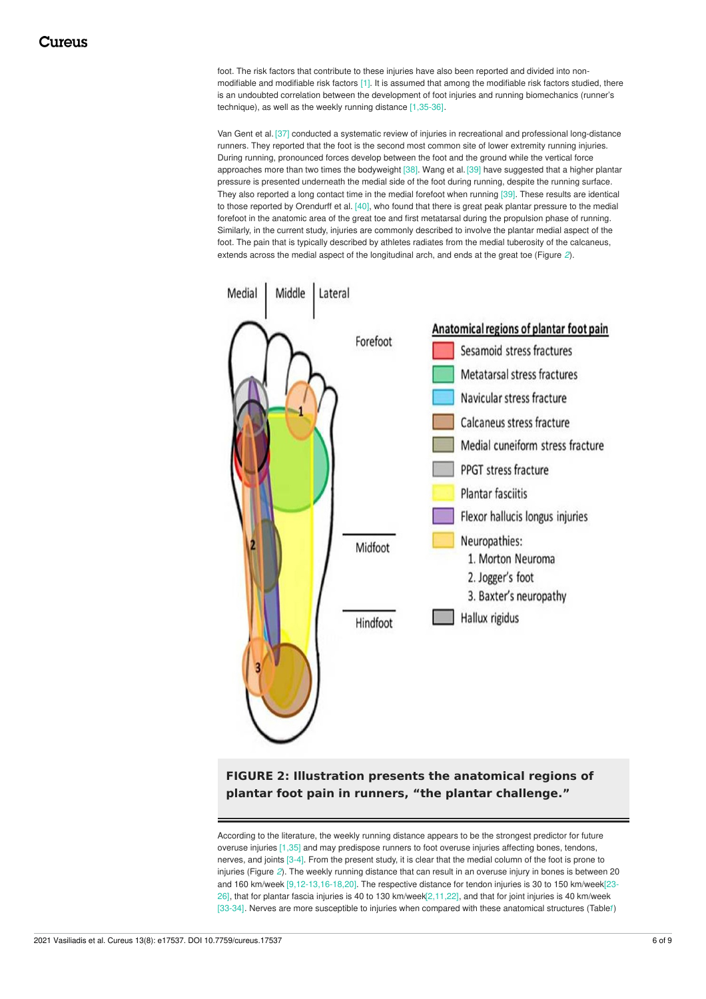foot. The risk factors that contribute to these injuries have also been reported and divided into nonmodifiable and modifiable risk factors [1]. It is assumed that among the modifiable risk factors studied, there is an undoubted correlation between the development of foot injuries and running biomechanics (runner's technique), as well as the weekly running distance [1,35-36].

Van Gent et al. [37] conducted a systematic review of injuries in recreational and professional long-distance runners. They reported that the foot is the second most common site of lower extremity running injuries. During running, pronounced forces develop between the foot and the ground while the vertical force approaches more than two times the bodyweight [38]. Wang et al. [39] have suggested that a higher plantar pressure is presented underneath the medial side of the foot during running, despite the running surface. They also reported a long contact time in the medial forefoot when running [39]. These results are identical to those reported by Orendurff et al. [40], who found that there is great peak plantar pressure to the medial forefoot in the anatomic area of the great toe and first metatarsal during the propulsion phase of running. Similarly, in the current study, injuries are commonly described to involve the plantar medial aspect of the foot. The pain that is typically described by athletes radiates from the medial tuberosity of the calcaneus, extends across the medial aspect of the longitudinal arch, and ends at the great toe (Figure *[2](#page-5-0)*).

<span id="page-5-0"></span>

**FIGURE 2: Illustration presents the anatomical regions of plantar foot pain in runners, "the plantar challenge."**

According to the literature, the weekly running distance appears to be the strongest predictor for future overuse injuries [1,35] and may predispose runners to foot overuse injuries affecting bones, tendons, nerves, and joints [3-4]. From the present study, it is clear that the medial column of the foot is prone to injuries (Figure *[2](#page-5-0)*). The weekly running distance that can result in an overuse injury in bones is between 20 and 160 km/week [9,12-13,16-18,20]. The respective distance for tendon injuries is 30 to 150 km/week[23-26], that for plantar fascia injuries is 40 to 130 km/week[2,11,22], and that for joint injuries is 40 km/week [33-34]. Nerves are more susceptible to injuries when compared with these anatomical structures (Table*[1](#page-4-0)*)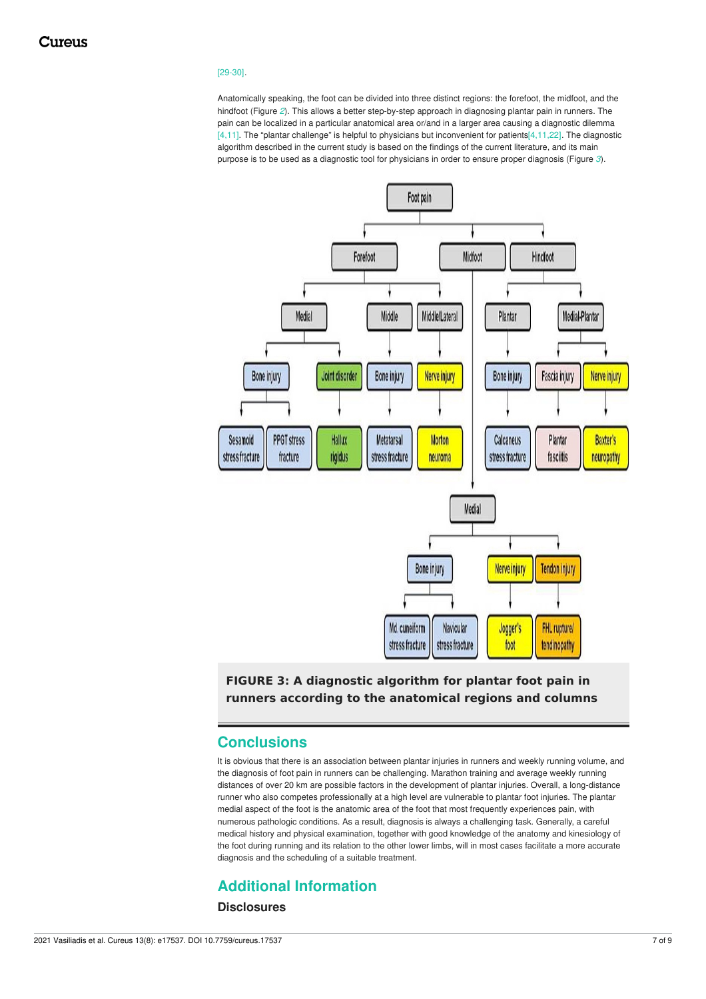### [29-30].

Anatomically speaking, the foot can be divided into three distinct regions: the forefoot, the midfoot, and the hindfoot (Figure *[2](#page-5-0)*). This allows a better step-by-step approach in diagnosing plantar pain in runners. The pain can be localized in a particular anatomical area or/and in a larger area causing a diagnostic dilemma [4,11]. The "plantar challenge" is helpful to physicians but inconvenient for patients[4,11,22]. The diagnostic algorithm described in the current study is based on the findings of the current literature, and its main purpose is to be used as a diagnostic tool for physicians in order to ensure proper diagnosis (Figure *[3](#page-6-0)*).

<span id="page-6-0"></span>

**FIGURE 3: A diagnostic algorithm for plantar foot pain in runners according to the anatomical regions and columns**

## **Conclusions**

It is obvious that there is an association between plantar injuries in runners and weekly running volume, and the diagnosis of foot pain in runners can be challenging. Marathon training and average weekly running distances of over 20 km are possible factors in the development of plantar injuries. Overall, a long-distance runner who also competes professionally at a high level are vulnerable to plantar foot injuries. The plantar medial aspect of the foot is the anatomic area of the foot that most frequently experiences pain, with numerous pathologic conditions. As a result, diagnosis is always a challenging task. Generally, a careful medical history and physical examination, together with good knowledge of the anatomy and kinesiology of the foot during running and its relation to the other lower limbs, will in most cases facilitate a more accurate diagnosis and the scheduling of a suitable treatment.

# **Additional Information**

## **Disclosures**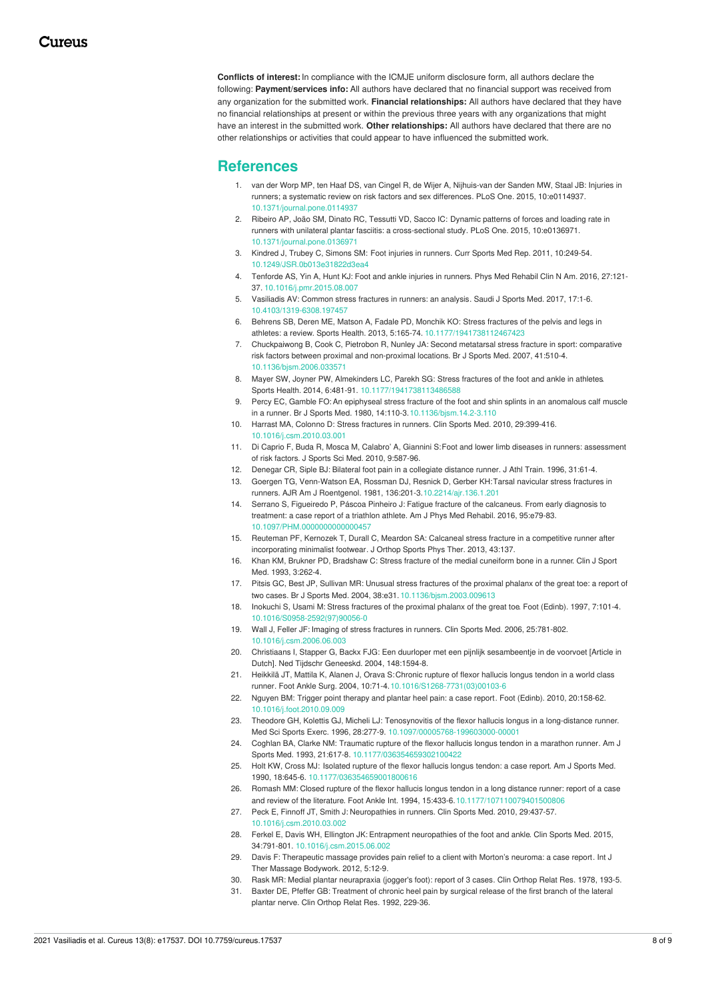**Conflicts of interest:**In compliance with the ICMJE uniform disclosure form, all authors declare the following: **Payment/services info:** All authors have declared that no financial support was received from any organization for the submitted work. **Financial relationships:** All authors have declared that they have no financial relationships at present or within the previous three years with any organizations that might have an interest in the submitted work. **Other relationships:** All authors have declared that there are no other relationships or activities that could appear to have influenced the submitted work.

## **References**

- 1. van der Worp MP, ten Haaf DS, van Cingel R, de Wijer A, Nijhuis-van der Sanden MW, Staal JB: Injuries in runners; a systematic review on risk factors and sex differences. PLoS One. 2015, [10:e0114937.](https://dx.doi.org/10.1371/journal.pone.0114937) [10.1371/journal.pone.0114937](https://dx.doi.org/10.1371/journal.pone.0114937)
- 2. Ribeiro AP, João SM, Dinato RC, Tessutti VD, Sacco IC: Dynamic patterns of forces and loading rate in runners with unilateral plantar fasciitis: a [cross-sectional](https://dx.doi.org/10.1371/journal.pone.0136971) study. PLoS One. 2015, 10:e0136971. [10.1371/journal.pone.0136971](https://dx.doi.org/10.1371/journal.pone.0136971)
- 3. Kindred J, Trubey C, Simons SM: Foot injuries in [runners](https://dx.doi.org/10.1249/JSR.0b013e31822d3ea4). Curr Sports Med Rep. 2011, 10:249-54. [10.1249/JSR.0b013e31822d3ea4](https://dx.doi.org/10.1249/JSR.0b013e31822d3ea4)
- 4. Tenforde AS, Yin A, Hunt KJ: Foot and ankle [injuries](https://dx.doi.org/10.1016/j.pmr.2015.08.007) in runners. Phys Med Rehabil Clin N Am. 2016, 27:121- 37. [10.1016/j.pmr.2015.08.007](https://dx.doi.org/10.1016/j.pmr.2015.08.007)
- 5. Vasiliadis AV: [Common](https://dx.doi.org/10.4103/1319-6308.197457) stress fractures in runners: an analysis. Saudi J Sports Med. 2017, 17:1-6. [10.4103/1319-6308.197457](https://dx.doi.org/10.4103/1319-6308.197457)
- 6. Behrens SB, Deren ME, Matson A, Fadale PD, Monchik KO: Stress fractures of the pelvis and legs in athletes: a review. Sports Health. 2013, 5:165-74. [10.1177/1941738112467423](https://dx.doi.org/10.1177/1941738112467423)
- 7. [Chuckpaiwong](https://dx.doi.org/10.1136/bjsm.2006.033571) B, Cook C, Pietrobon R, Nunley JA: Second metatarsal stress fracture in sport: comparative risk factors between proximal and non-proximal locations. Br J Sports Med. 2007, 41:510-4. [10.1136/bjsm.2006.033571](https://dx.doi.org/10.1136/bjsm.2006.033571)
- 8. Mayer SW, Joyner PW, Almekinders LC, Parekh SG: Stress [fractures](https://dx.doi.org/10.1177/1941738113486588) of the foot and ankle in athletes. Sports Health. 2014, 6:481-91. [10.1177/1941738113486588](https://dx.doi.org/10.1177/1941738113486588)
- 9. Percy EC, Gamble FO:An epiphyseal stress fracture of the foot and shin splints in an anomalous calf muscle in a runner. Br J Sports Med. 1980, 14:110-3, 10.1136/bism. 14.2-3.110
- 10. Harrast MA, Colonno D: Stress [fractures](https://dx.doi.org/10.1016/j.csm.2010.03.001) in runners. Clin Sports Med. 2010, 29:399-416. [10.1016/j.csm.2010.03.001](https://dx.doi.org/10.1016/j.csm.2010.03.001)
- 11. Di Caprio F, Buda R, Mosca M, Calabro' A, Giannini S:Foot and lower limb diseases in runners: [assessment](https://www.ncbi.nlm.nih.gov/pmc/articles/PMC3761810/) of risk factors. J Sports Sci Med. 2010, 9:587-96.
- 12. Denegar CR, Siple BJ: Bilateral foot pain in a [collegiate](https://pubmed.ncbi.nlm.nih.gov/16558375/) distance runner. J Athl Train. 1996, 31:61-4.
- 13. Goergen TG, Venn-Watson EA, Rossman DJ, Resnick D, Gerber KH:Tarsal navicular stress fractures in runners. AJR Am J Roentgenol. 1981, [136:201-3.10.2214/ajr.136.1.201](https://dx.doi.org/10.2214/ajr.136.1.201)
- 14. Serrano S, Figueiredo P, Páscoa Pinheiro J: Fatigue fracture of the [calcaneus.](https://dx.doi.org/10.1097/PHM.0000000000000457) From early diagnosis to treatment: a case report of a triathlon athlete. Am J Phys Med Rehabil. 2016, 95:e79-83. [10.1097/PHM.0000000000000457](https://dx.doi.org/10.1097/PHM.0000000000000457)
- 15. Reuteman PF, Kernozek T, Durall C, Meardon SA: Calcaneal stress fracture in a [competitive](https://scholar.google.com/scholar?q=intitle:Calcaneal stress fracture in a competitive runner after incorporating minimalist footwear) runner after incorporating minimalist footwear. J Orthop Sports Phys Ther. 2013, 43:137.
- 16. Khan KM, Brukner PD, Bradshaw C: Stress fracture of the medial [cuneiform](https://journals.lww.com/cjsportsmed/abstract/1993/10000/stress_fracture_of_the_medial_cuneiform_bone_in_a.9.aspx) bone in a runner. Clin J Sport Med. 1993, 3:262-4.
- 17. Pitsis GC, Best JP, Sullivan MR: Unusual stress fractures of the proximal phalanx of the great toe: a report of two cases. Br J Sports Med. 2004, 38:e31. [10.1136/bjsm.2003.009613](https://dx.doi.org/10.1136/bjsm.2003.009613)
- 18. Inokuchi S, Usami M: Stress [fractures](https://dx.doi.org/10.1016/S0958-2592(97)90056-0) of the proximal phalanx of the great toe. Foot (Edinb). 1997, 7:101-4. [10.1016/S0958-2592\(97\)90056-0](https://dx.doi.org/10.1016/S0958-2592(97)90056-0)
- 19. Wall J, Feller JF: Imaging of stress [fractures](https://dx.doi.org/10.1016/j.csm.2006.06.003) in runners. Clin Sports Med. 2006, 25:781-802. [10.1016/j.csm.2006.06.003](https://dx.doi.org/10.1016/j.csm.2006.06.003)
- 20. Christiaans I, Stapper G, Backx FJG: Een duurloper met een pijnlijk [sesambeentje](https://www.ntvg.nl/artikelen/een-duurloper-met-een-pijnlijk-sesambeentje-de-voorvoet/volledig) in de voorvoet [Article in Dutch]. Ned Tijdschr Geneeskd. 2004, 148:1594-8.
- 21. Heikkilä JT, Mattila K, Alanen J, Orava S:Chronic rupture of flexor hallucis longus tendon in a world class runner. Foot Ankle Surg. 2004, [10:71-4.10.1016/S1268-7731\(03\)00103-6](https://dx.doi.org/10.1016/S1268-7731(03)00103-6)
- 22. Nguyen BM: Trigger point [therapy](https://dx.doi.org/10.1016/j.foot.2010.09.009) and plantar heel pain: a case report. Foot (Edinb). 2010, 20:158-62. [10.1016/j.foot.2010.09.009](https://dx.doi.org/10.1016/j.foot.2010.09.009)
- 23. Theodore GH, Kolettis GJ, Micheli LJ: [Tenosynovitis](https://dx.doi.org/10.1097/00005768-199603000-00001) of the flexor hallucis longus in a long-distance runner. Med Sci Sports Exerc. 1996, 28:277-9. [10.1097/00005768-199603000-00001](https://dx.doi.org/10.1097/00005768-199603000-00001)
- 24. Coghlan BA, Clarke NM: [Traumatic](https://dx.doi.org/10.1177/036354659302100422) rupture of the flexor hallucis longus tendon in a marathon runner. Am J Sports Med. 1993, 21:617-8. [10.1177/036354659302100422](https://dx.doi.org/10.1177/036354659302100422)
- 25. Holt KW, Cross MJ: [Isolated](https://dx.doi.org/10.1177/036354659001800616) rupture of the flexor hallucis longus tendon: a case report. Am J Sports Med. 1990, 18:645-6. [10.1177/036354659001800616](https://dx.doi.org/10.1177/036354659001800616)
- 26. Romash MM: Closed rupture of the flexor hallucis longus tendon in a long distance runner: report of a case and review of the literature. Foot Ankle Int. 1994, [15:433-6.10.1177/107110079401500806](https://dx.doi.org/10.1177/107110079401500806)
- 27. Peck E, Finnoff JT, Smith J: [Neuropathies](https://dx.doi.org/10.1016/j.csm.2010.03.002) in runners. Clin Sports Med. 2010, 29:437-57. [10.1016/j.csm.2010.03.002](https://dx.doi.org/10.1016/j.csm.2010.03.002)
- 28. Ferkel E, Davis WH, Ellington JK: Entrapment [neuropathies](https://dx.doi.org/10.1016/j.csm.2015.06.002) of the foot and ankle. Clin Sports Med. 2015, 34:791-801. [10.1016/j.csm.2015.06.002](https://dx.doi.org/10.1016/j.csm.2015.06.002)
- 29. Davis F: [Therapeutic](https://pubmed.ncbi.nlm.nih.gov/22811757/) massage provides pain relief to a client with Morton's neuroma: a case report. Int J Ther Massage Bodywork. 2012, 5:12-9.
- 30. Rask MR: Medial plantar [neurapraxia](https://pubmed.ncbi.nlm.nih.gov/729244/) (jogger's foot): report of 3 cases. Clin Orthop Relat Res. 1978, 193-5.
- 31. Baxter DE, Pfeffer GB: [Treatment](https://pubmed.ncbi.nlm.nih.gov/1600660/) of chronic heel pain by surgical release of the first branch of the lateral plantar nerve. Clin Orthop Relat Res. 1992, 229-36.